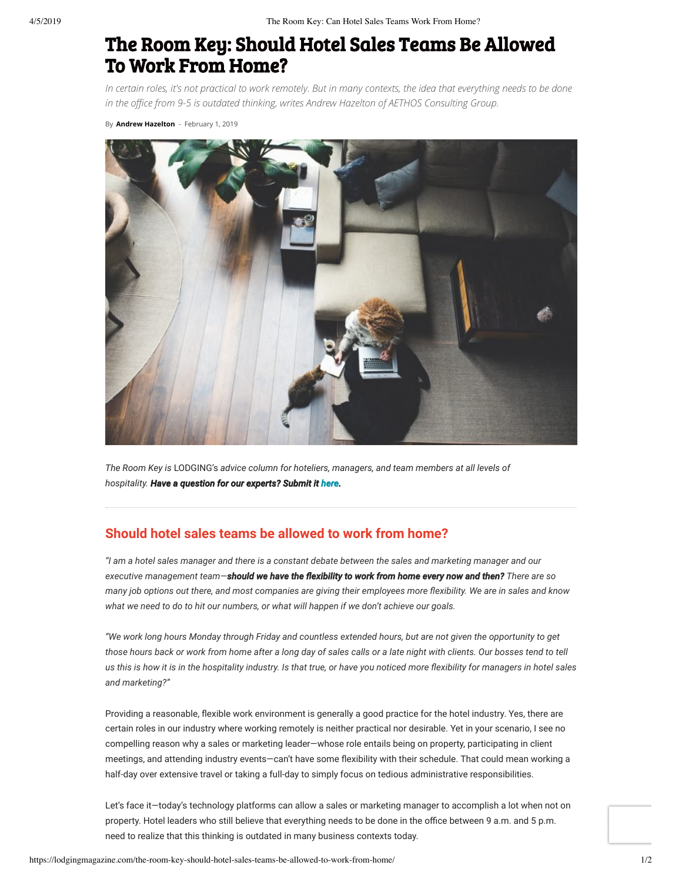# The Room Key: Should Hotel Sales Teams Be Allowed To Work From Home?

In certain roles, it's not practical to work remotely. But in many contexts, the idea that everything needs to be done *in the oce from 9-5 is outdated thinking, writes Andrew Hazelton of AETHOS Consulting Group.*

By **[Andrew Hazelton](https://lodgingmagazine.com/author/ahazelton/)** - February 1, 2019



*The Room Key is* LODGING's *advice column for hoteliers, managers, and team members at all levels of hospitality. Have a question for our experts? Submit it [here](https://lodgingmagazine.com/the-room-key/).*

### **Should hotel sales teams be allowed to work from home?**

*"I am a hotel sales manager and there is a constant debate between the sales and marketing manager and our executive management team—should we ha have the exibility t e to work fr o from home e om every now and then? y There are so many job options out there, and most companies are giving their employees more exibility. We are in sales and know what we need to do to hit our numbers, or what will happen if we don't achieve our goals.*

*"We work long hours Monday through Friday and countless extended hours, but are not given the opportunity to get those hours back or work from home after a long day of sales calls or a late night with clients. Our bosses tend to tell us this is how it is in the hospitality industry. Is that true, or have you noticed more exibility for managers in hotel sales and marketing?"*

Providing a reasonable, flexible work environment is generally a good practice for the hotel industry. Yes, there are certain roles in our industry where working remotely is neither practical nor desirable. Yet in your scenario, I see no compelling reason why a sales or marketing leader—whose role entails being on property, participating in client meetings, and attending industry events-can't have some flexibility with their schedule. That could mean working a half-day over extensive travel or taking a full-day to simply focus on tedious administrative responsibilities.

Let's face it—today's technology platforms can allow a sales or marketing manager to accomplish a lot when not on property. Hotel leaders who still believe that everything needs to be done in the office between 9 a.m. and 5 p.m. need to realize that this thinking is outdated in many business contexts today.